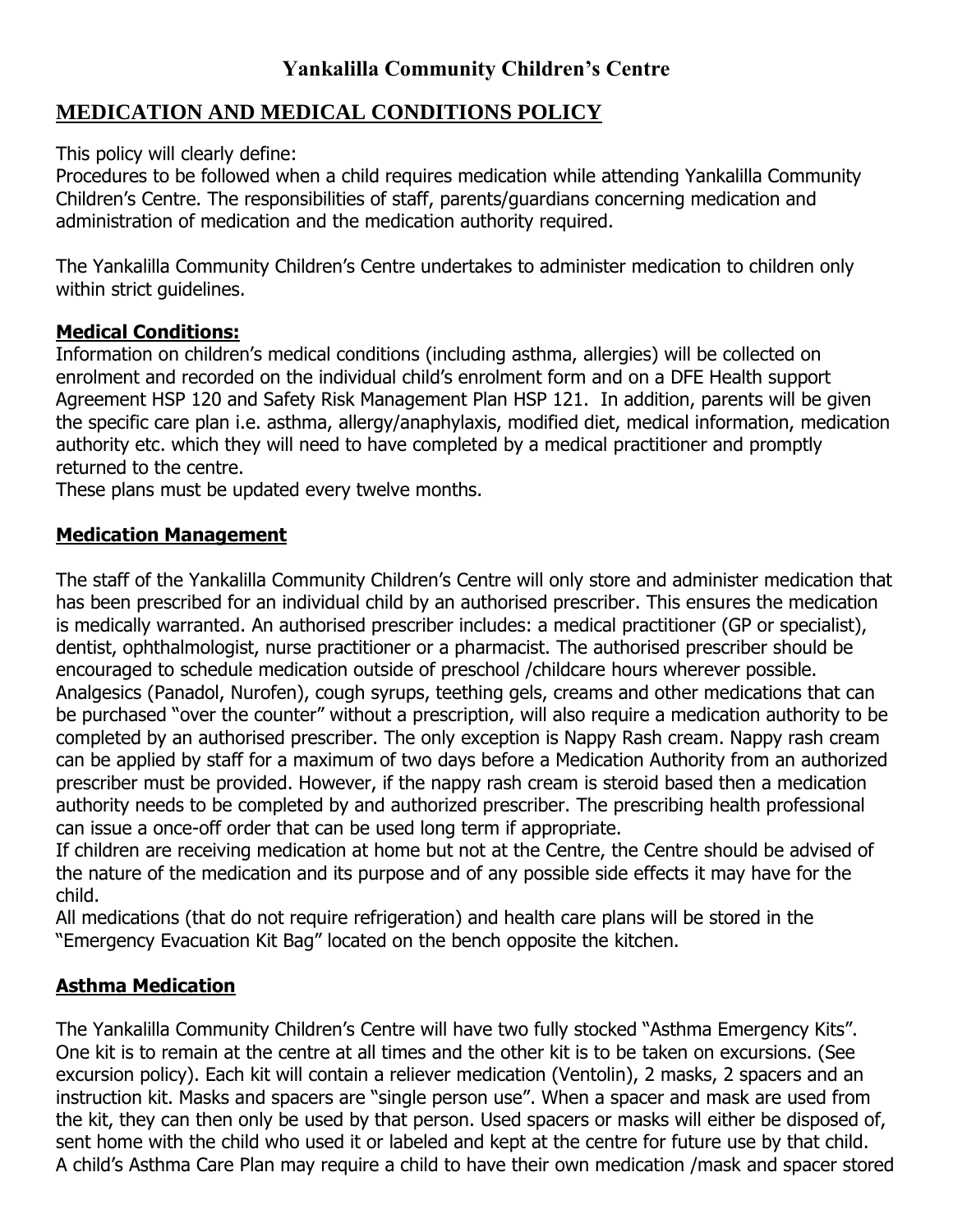# **MEDICATION AND MEDICAL CONDITIONS POLICY**

This policy will clearly define:

Procedures to be followed when a child requires medication while attending Yankalilla Community Children's Centre. The responsibilities of staff, parents/guardians concerning medication and administration of medication and the medication authority required.

The Yankalilla Community Children's Centre undertakes to administer medication to children only within strict guidelines.

# **Medical Conditions:**

Information on children's medical conditions (including asthma, allergies) will be collected on enrolment and recorded on the individual child's enrolment form and on a DFE Health support Agreement HSP 120 and Safety Risk Management Plan HSP 121. In addition, parents will be given the specific care plan i.e. asthma, allergy/anaphylaxis, modified diet, medical information, medication authority etc. which they will need to have completed by a medical practitioner and promptly returned to the centre.

These plans must be updated every twelve months.

## **Medication Management**

The staff of the Yankalilla Community Children's Centre will only store and administer medication that has been prescribed for an individual child by an authorised prescriber. This ensures the medication is medically warranted. An authorised prescriber includes: a medical practitioner (GP or specialist), dentist, ophthalmologist, nurse practitioner or a pharmacist. The authorised prescriber should be encouraged to schedule medication outside of preschool /childcare hours wherever possible. Analgesics (Panadol, Nurofen), cough syrups, teething gels, creams and other medications that can be purchased "over the counter" without a prescription, will also require a medication authority to be completed by an authorised prescriber. The only exception is Nappy Rash cream. Nappy rash cream can be applied by staff for a maximum of two days before a Medication Authority from an authorized prescriber must be provided. However, if the nappy rash cream is steroid based then a medication authority needs to be completed by and authorized prescriber. The prescribing health professional can issue a once-off order that can be used long term if appropriate.

If children are receiving medication at home but not at the Centre, the Centre should be advised of the nature of the medication and its purpose and of any possible side effects it may have for the child.

All medications (that do not require refrigeration) and health care plans will be stored in the "Emergency Evacuation Kit Bag" located on the bench opposite the kitchen.

## **Asthma Medication**

The Yankalilla Community Children's Centre will have two fully stocked "Asthma Emergency Kits". One kit is to remain at the centre at all times and the other kit is to be taken on excursions. (See excursion policy). Each kit will contain a reliever medication (Ventolin), 2 masks, 2 spacers and an instruction kit. Masks and spacers are "single person use". When a spacer and mask are used from the kit, they can then only be used by that person. Used spacers or masks will either be disposed of, sent home with the child who used it or labeled and kept at the centre for future use by that child. A child's Asthma Care Plan may require a child to have their own medication /mask and spacer stored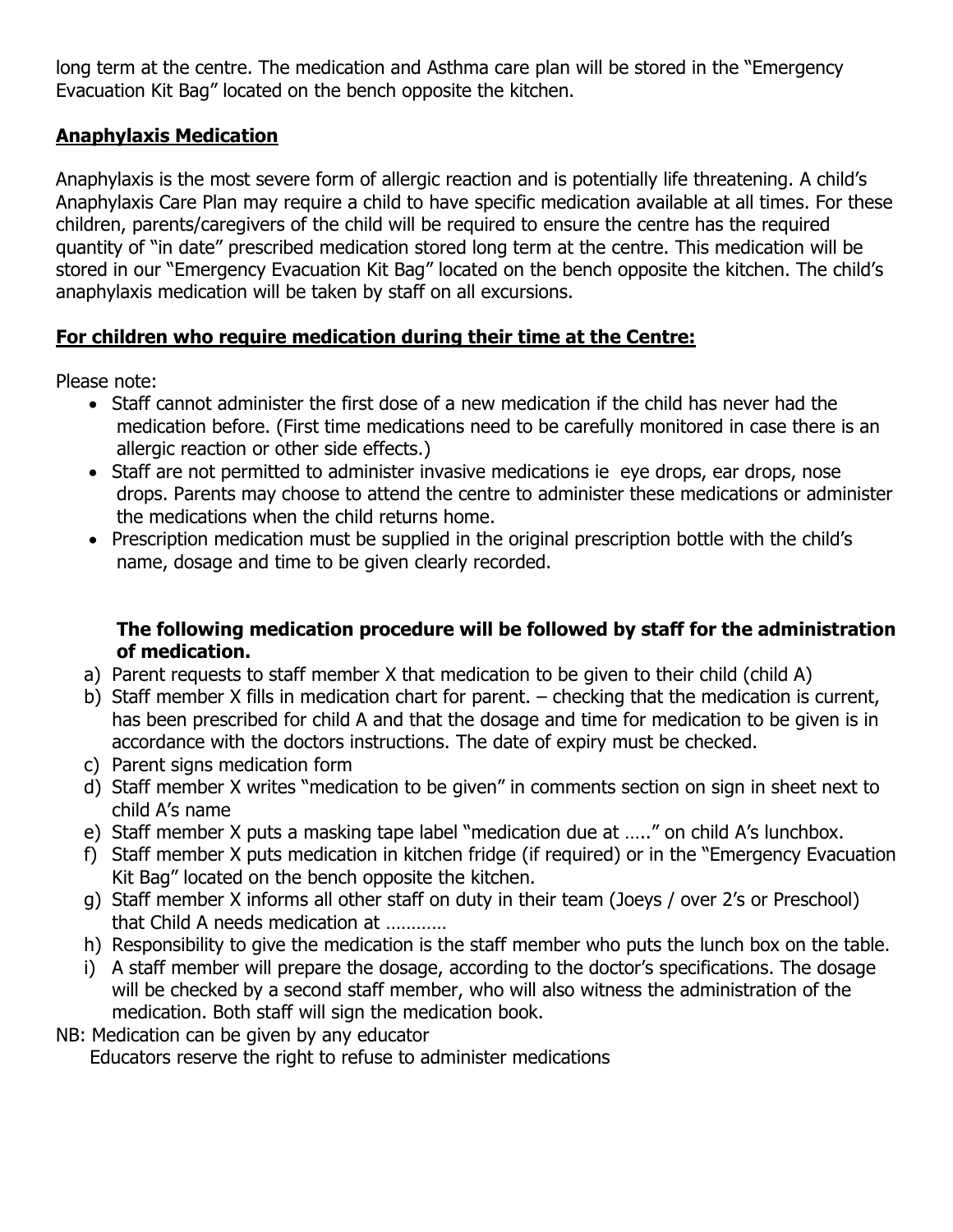long term at the centre. The medication and Asthma care plan will be stored in the "Emergency Evacuation Kit Bag" located on the bench opposite the kitchen.

# **Anaphylaxis Medication**

Anaphylaxis is the most severe form of allergic reaction and is potentially life threatening. A child's Anaphylaxis Care Plan may require a child to have specific medication available at all times. For these children, parents/caregivers of the child will be required to ensure the centre has the required quantity of "in date" prescribed medication stored long term at the centre. This medication will be stored in our "Emergency Evacuation Kit Bag" located on the bench opposite the kitchen. The child's anaphylaxis medication will be taken by staff on all excursions.

## **For children who require medication during their time at the Centre:**

Please note:

- Staff cannot administer the first dose of a new medication if the child has never had the medication before. (First time medications need to be carefully monitored in case there is an allergic reaction or other side effects.)
- Staff are not permitted to administer invasive medications ie eye drops, ear drops, nose drops. Parents may choose to attend the centre to administer these medications or administer the medications when the child returns home.
- Prescription medication must be supplied in the original prescription bottle with the child's name, dosage and time to be given clearly recorded.

## **The following medication procedure will be followed by staff for the administration of medication.**

- a) Parent requests to staff member X that medication to be given to their child (child A)
- b) Staff member X fills in medication chart for parent. checking that the medication is current, has been prescribed for child A and that the dosage and time for medication to be given is in accordance with the doctors instructions. The date of expiry must be checked.
- c) Parent signs medication form
- d) Staff member X writes "medication to be given" in comments section on sign in sheet next to child A's name
- e) Staff member X puts a masking tape label "medication due at ….." on child A's lunchbox.
- f) Staff member X puts medication in kitchen fridge (if required) or in the "Emergency Evacuation Kit Bag" located on the bench opposite the kitchen.
- g) Staff member X informs all other staff on duty in their team (Joeys / over 2's or Preschool) that Child A needs medication at …………
- h) Responsibility to give the medication is the staff member who puts the lunch box on the table.
- i) A staff member will prepare the dosage, according to the doctor's specifications. The dosage will be checked by a second staff member, who will also witness the administration of the medication. Both staff will sign the medication book.
- NB: Medication can be given by any educator Educators reserve the right to refuse to administer medications